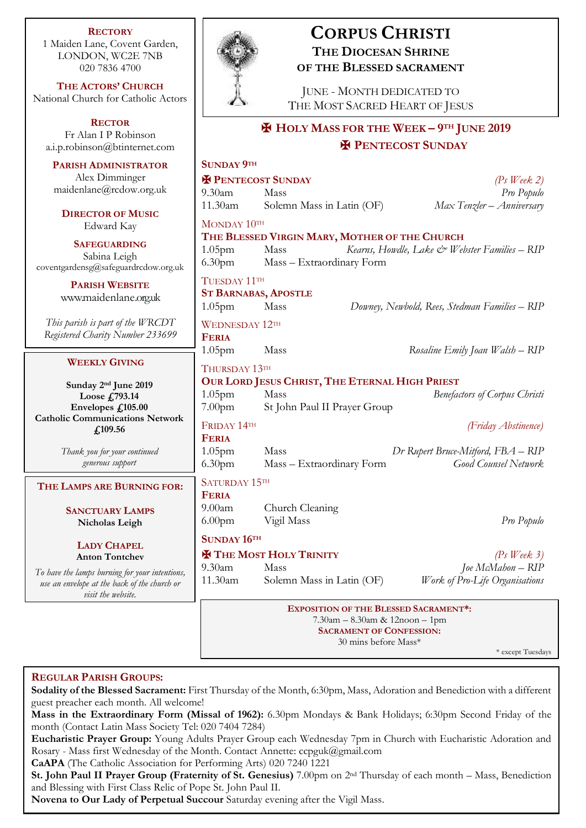| <b>RECTORY</b><br>1 Maiden Lane, Covent Garden,<br>LONDON, WC2E 7NB<br>020 7836 4700                                                                      | <b>CORPUS CHRISTI</b><br><b>THE DIOCESAN SHRINE</b><br>OF THE BLESSED SACRAMENT                                                                                                                                                                                                                                        |
|-----------------------------------------------------------------------------------------------------------------------------------------------------------|------------------------------------------------------------------------------------------------------------------------------------------------------------------------------------------------------------------------------------------------------------------------------------------------------------------------|
| THE ACTORS' CHURCH<br>National Church for Catholic Actors                                                                                                 | <b>JUNE - MONTH DEDICATED TO</b><br>THE MOST SACRED HEART OF JESUS                                                                                                                                                                                                                                                     |
| <b>RECTOR</b><br>Fr Alan I P Robinson<br>a.i.p.robinson@btinternet.com                                                                                    | <b>HOLY MASS FOR THE WEEK - 9TH JUNE 2019</b><br><b>H</b> PENTECOST SUNDAY                                                                                                                                                                                                                                             |
| <b>PARISH ADMINISTRATOR</b><br>Alex Dimminger<br>maidenlane@rcdow.org.uk<br><b>DIRECTOR OF MUSIC</b><br>Edward Kay<br><b>SAFEGUARDING</b><br>Sabina Leigh | <b>SUNDAY 9TH</b><br><b>X PENTECOST SUNDAY</b><br>$(Ps$ Week 2)<br>$9.30$ am<br>Pro Populo<br>Mass<br>Solemn Mass in Latin (OF)<br>Max Tenzler - Anniversary<br>11.30am<br>MONDAY 10TH<br>THE BLESSED VIRGIN MARY, MOTHER OF THE CHURCH<br>1.05 <sub>pm</sub><br>Mass<br>Kearns, Howdle, Lake & Webster Families - RIP |
| coventgardensg@safeguardrcdow.org.uk<br><b>PARISH WEBSITE</b><br>www.maidenlane.org.uk                                                                    | 6.30 <sub>pm</sub><br>Mass - Extraordinary Form<br>TUESDAY 11TH<br><b>ST BARNABAS, APOSTLE</b><br>1.05 <sub>pm</sub><br>Mass<br>Downey, Newbold, Rees, Stedman Families - RIP                                                                                                                                          |
| This parish is part of the WRCDT<br>Registered Charity Number 233699                                                                                      | <b>WEDNESDAY 12TH</b><br><b>FERIA</b><br>1.05 <sub>pm</sub><br>Mass<br>Rosaline Emily Joan Walsh - RIP                                                                                                                                                                                                                 |
| <b>WEEKLY GIVING</b>                                                                                                                                      | THURSDAY 13TH                                                                                                                                                                                                                                                                                                          |
| Sunday 2 <sup>nd</sup> June 2019<br>Loose £793.14<br>Envelopes £105.00<br><b>Catholic Communications Network</b><br>£109.56                               | OUR LORD JESUS CHRIST, THE ETERNAL HIGH PRIEST<br>1.05 <sub>pm</sub><br>Mass<br><b>Benefactors of Corpus Christi</b><br>7.00 <sub>pm</sub><br>St John Paul II Prayer Group<br>FRIDAY 14TH<br>(Friday Abstinence)<br><b>FERIA</b>                                                                                       |
| Thank you for your continued<br>generous support                                                                                                          | $1.05$ pm<br>Dr Rupert Bruce-Mitford, FBA - RIP<br>Mass<br><b>Good Counsel Network</b><br>6.30pm<br>Mass - Extraordinary Form                                                                                                                                                                                          |
| THE LAMPS ARE BURNING FOR:<br><b>SANCTUARY LAMPS</b>                                                                                                      | SATURDAY 15TH<br><b>FERIA</b><br>9.00 <sub>am</sub><br>Church Cleaning                                                                                                                                                                                                                                                 |
| Nicholas Leigh<br><b>LADY CHAPEL</b><br><b>Anton Tontchev</b>                                                                                             | 6.00 <sub>pm</sub><br>Vigil Mass<br>Pro Populo<br>SUNDAY 16TH<br><b>H</b> THE MOST HOLY TRINITY<br>$(Ps \nWeek 3)$                                                                                                                                                                                                     |
| To have the lamps burning for your intentions,<br>use an envelope at the back of the church or<br>visit the website.                                      | Joe McMahon - RIP<br>$9.30$ am<br>Mass<br>11.30am<br>Work of Pro-Life Organisations<br>Solemn Mass in Latin (OF)                                                                                                                                                                                                       |
|                                                                                                                                                           | <b>EXPOSITION OF THE BLESSED SACRAMENT*:</b><br>$7.30am - 8.30am$ & $12noon - 1pm$<br><b>SACRAMENT OF CONFESSION:</b><br>30 mins before Mass*                                                                                                                                                                          |

# **REGULAR PARISH GROUPS:**

**Sodality of the Blessed Sacrament:** First Thursday of the Month, 6:30pm, Mass, Adoration and Benediction with a different guest preacher each month. All welcome!

\* except Tuesdays

**Mass in the Extraordinary Form (Missal of 1962):** 6.30pm Mondays & Bank Holidays; 6:30pm Second Friday of the month (Contact Latin Mass Society Tel: 020 7404 7284)

**Eucharistic Prayer Group:** Young Adults Prayer Group each Wednesday 7pm in Church with Eucharistic Adoration and Rosary - Mass first Wednesday of the Month. Contact Annette: ccpguk@gmail.com

**CaAPA** (The Catholic Association for Performing Arts) 020 7240 1221

**St. John Paul II Prayer Group (Fraternity of St. Genesius)** 7.00pm on 2nd Thursday of each month – Mass, Benediction and Blessing with First Class Relic of Pope St. John Paul II.

**Novena to Our Lady of Perpetual Succour** Saturday evening after the Vigil Mass.